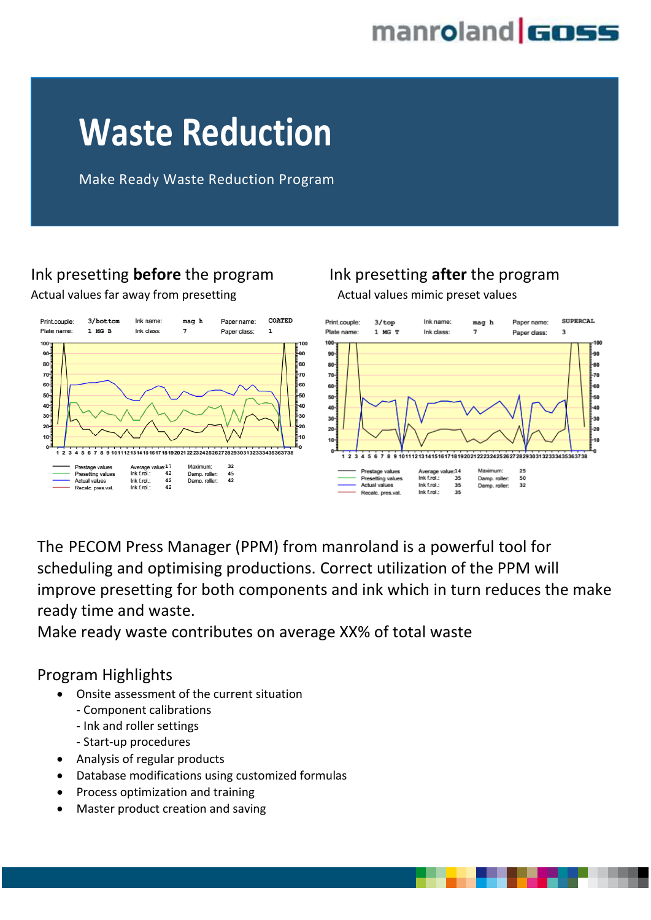

# **Waste Reduction**

Make Ready Waste Reduction Program

## Ink presetting **before** the program Ink presetting **after** the program

Actual values far away from presetting and actual values mimic preset values



The PECOM Press Manager (PPM) from manroland is a powerful tool for scheduling and optimising productions. Correct utilization of the PPM will improve presetting for both components and ink which in turn reduces the make ready time and waste.

Make ready waste contributes on average XX% of total waste

#### Program Highlights

- Onsite assessment of the current situation
	- Component calibrations
	- Ink and roller settings
	- Start-up procedures
- Analysis of regular products
- Database modifications using customized formulas
- Process optimization and training
- Master product creation and saving